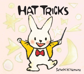

HAT TRICKS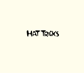## HAT TRICKS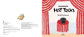

#### $\Omega$

Published by PEACHTREE PUBLISHING COMPANY INC. 1700 Chattahoochee Avenue Atlanta, Georgia 30318-2112 *www.peachtree-online.com*

Text and illustrations © 2019 by Satoshi Kitamura

First published in Great Britain in 2019 by Scallywag Press Ltd 10 Sutherland Row, London SW1V 4JT First United States version published in 2020 by Peachtree Publishing Company Inc.

All rights reserved. No part of this publication may be reproduced, stored in a retrieval system, or transmitted in any form or by any means—electronic, mechanical, photocopy, recording, or any other—except for brief quotations in printed reviews, without the prior permission of the publisher.

The illustrations were created with pen, ink, watercolor, and gouache. Printed in August 2019 by in Singapore 10 9 8 7 6 5 4 3 2 1 First Edition

HC ISBN: 978-1-68263-150-8

#### **Library of Congress Cataloging-in-Publication Data**

Names: Kitamura, Satoshi, author, illustrator. Title: Hat tricks / written and illustrated by Satoshi Kitamura. Description: First edition. | Atlanta, Georgia : Peachtree Publishing Company Inc., 2020. | Summary: A rabbit in a hat performs a magic show. | "First published in Great Britain in 2019 by Scallywag Press"—Copyright page. Identifiers: LCCN 2019019042 | ISBN 9781682631508 Subjects: | CYAC: Magicians—Fiction. | Magic tricks—Fiction. | Rabbits—Fiction. | Animals— Fiction. Classification: LCC PZ7.K6712 Hat 2020 | DDC [E]—dc23 LC record available at *https://lccn.loc.gov/2019019042*

Hattie's Magic Show

# HAT TRICKS

Satoshi Kitamura

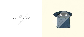# What do we have here?

 $\frac{1}{c}$ 

 $\sim$ 

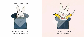#### It's a rabbit in a hat!



But it's not just *any* rabbit, and it's not just *any* hat ...



#### It's Hattie the Magician and this is *her* hat!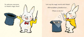

Let's say the magic words with Hattie!

Abracadabra, katakurico ...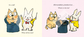

What will be next?

#### Abracadabra, katakurico ...

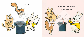

## Abracadabra, katakurico...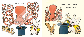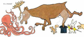### It's a moose!

a.

a.

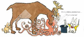

### Abracadabra, katakurico ...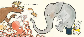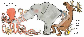But the elephant is stuck . Oh, oh, oh, it hurts!

*and* . . .

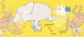

Kaboom! fall down! All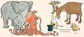

Well, now the hat *must* be empty.

Is it?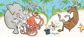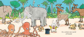

It's a whole new world of friends!

 $572$ 

IJΣ